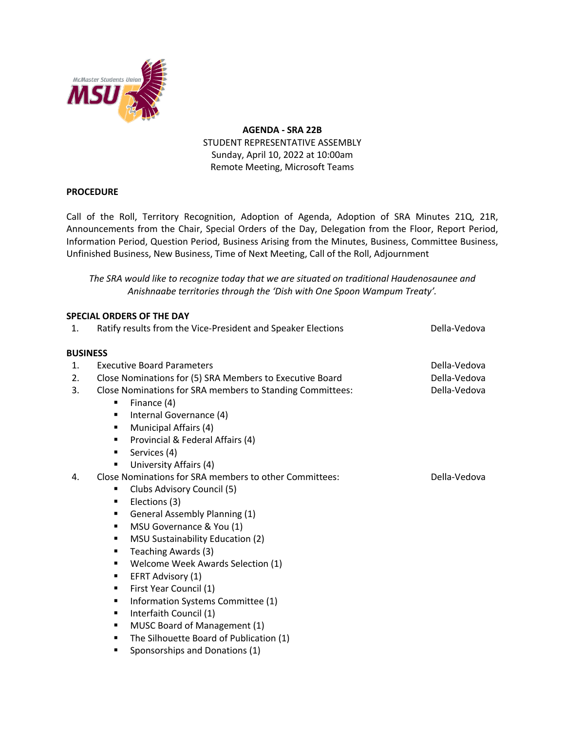

**AGENDA - SRA 22B** STUDENT REPRESENTATIVE ASSEMBLY Sunday, April 10, 2022 at 10:00am Remote Meeting, Microsoft Teams

## **PROCEDURE**

Call of the Roll, Territory Recognition, Adoption of Agenda, Adoption of SRA Minutes 21Q, 21R, Announcements from the Chair, Special Orders of the Day, Delegation from the Floor, Report Period, Information Period, Question Period, Business Arising from the Minutes, Business, Committee Business, Unfinished Business, New Business, Time of Next Meeting, Call of the Roll, Adjournment

*The SRA would like to recognize today that we are situated on traditional Haudenosaunee and Anishnaabe territories through the 'Dish with One Spoon Wampum Treaty'.*

|                 | <b>SPECIAL ORDERS OF THE DAY</b>                             |              |
|-----------------|--------------------------------------------------------------|--------------|
| 1.              | Ratify results from the Vice-President and Speaker Elections | Della-Vedova |
|                 |                                                              |              |
| <b>BUSINESS</b> |                                                              |              |
| 1.              | <b>Executive Board Parameters</b>                            | Della-Vedova |
| 2.              | Close Nominations for (5) SRA Members to Executive Board     | Della-Vedova |
| 3.              | Close Nominations for SRA members to Standing Committees:    | Della-Vedova |
|                 | Finance (4)<br>٠                                             |              |
|                 | Internal Governance (4)<br>٠                                 |              |
|                 | Municipal Affairs (4)<br>٠                                   |              |
|                 | Provincial & Federal Affairs (4)<br>٠                        |              |
|                 | Services (4)<br>٠                                            |              |
|                 | University Affairs (4)<br>٠                                  |              |
| 4.              | Close Nominations for SRA members to other Committees:       | Della-Vedova |
|                 | Clubs Advisory Council (5)<br>٠                              |              |
|                 | Elections (3)<br>٠                                           |              |
|                 | General Assembly Planning (1)<br>٠                           |              |
|                 | MSU Governance & You (1)<br>٠                                |              |
|                 | MSU Sustainability Education (2)<br>٠                        |              |
|                 | Teaching Awards (3)<br>٠                                     |              |
|                 | Welcome Week Awards Selection (1)<br>٠                       |              |
|                 | EFRT Advisory (1)<br>٠                                       |              |
|                 | First Year Council (1)<br>٠                                  |              |
|                 | Information Systems Committee (1)<br>٠                       |              |
|                 | Interfaith Council (1)<br>٠                                  |              |
|                 | MUSC Board of Management (1)<br>٠                            |              |
|                 | The Silhouette Board of Publication (1)<br>٠                 |              |
|                 | Sponsorships and Donations (1)<br>٠                          |              |
|                 |                                                              |              |